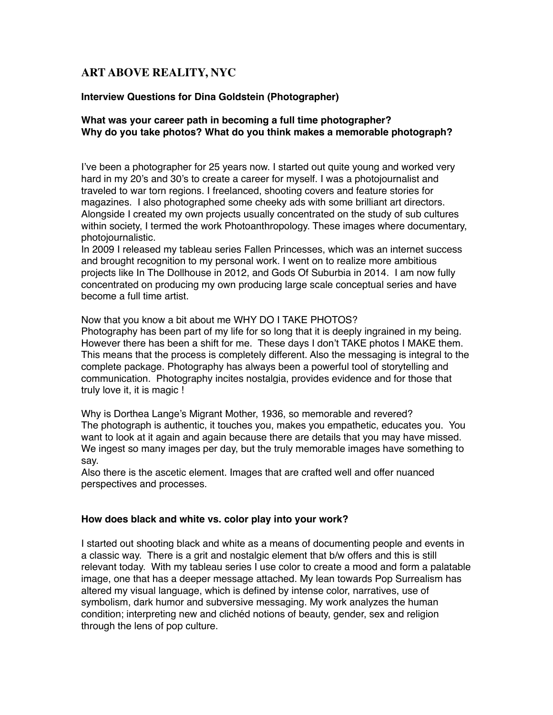# **ART ABOVE REALITY, NYC**

#### **Interview Questions for Dina Goldstein (Photographer)**

#### **What was your career path in becoming a full time photographer? Why do you take photos? What do you think makes a memorable photograph?**

I've been a photographer for 25 years now. I started out quite young and worked very hard in my 20's and 30's to create a career for myself. I was a photojournalist and traveled to war torn regions. I freelanced, shooting covers and feature stories for magazines. I also photographed some cheeky ads with some brilliant art directors. Alongside I created my own projects usually concentrated on the study of sub cultures within society, I termed the work Photoanthropology. These images where documentary, photojournalistic.

In 2009 I released my tableau series Fallen Princesses, which was an internet success and brought recognition to my personal work. I went on to realize more ambitious projects like In The Dollhouse in 2012, and Gods Of Suburbia in 2014. I am now fully concentrated on producing my own producing large scale conceptual series and have become a full time artist.

#### Now that you know a bit about me WHY DO I TAKE PHOTOS?

Photography has been part of my life for so long that it is deeply ingrained in my being. However there has been a shift for me. These days I don't TAKE photos I MAKE them. This means that the process is completely different. Also the messaging is integral to the complete package. Photography has always been a powerful tool of storytelling and communication. Photography incites nostalgia, provides evidence and for those that truly love it, it is magic !

Why is Dorthea Lange's Migrant Mother, 1936, so memorable and revered? The photograph is authentic, it touches you, makes you empathetic, educates you. You want to look at it again and again because there are details that you may have missed. We ingest so many images per day, but the truly memorable images have something to say.

Also there is the ascetic element. Images that are crafted well and offer nuanced perspectives and processes.

#### **How does black and white vs. color play into your work?**

I started out shooting black and white as a means of documenting people and events in a classic way. There is a grit and nostalgic element that b/w offers and this is still relevant today. With my tableau series I use color to create a mood and form a palatable image, one that has a deeper message attached. My lean towards Pop Surrealism has altered my visual language, which is defined by intense color, narratives, use of symbolism, dark humor and subversive messaging. My work analyzes the human condition; interpreting new and clichéd notions of beauty, gender, sex and religion through the lens of pop culture.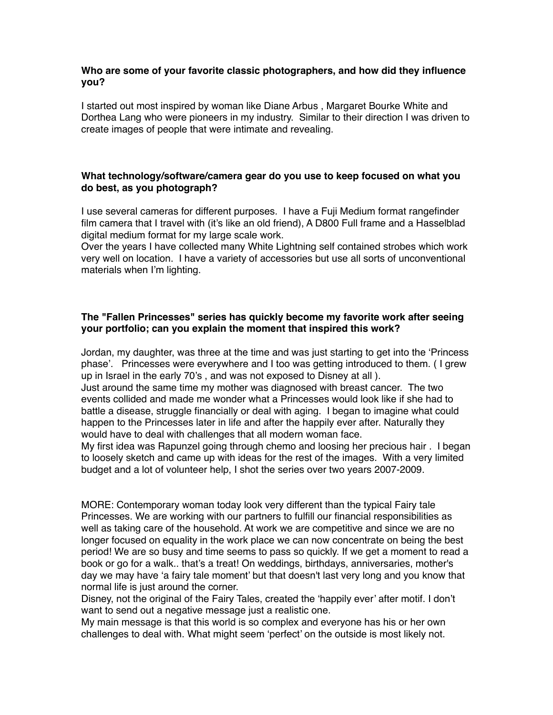### **Who are some of your favorite classic photographers, and how did they influence you?**

I started out most inspired by woman like Diane Arbus , Margaret Bourke White and Dorthea Lang who were pioneers in my industry. Similar to their direction I was driven to create images of people that were intimate and revealing.

## **What technology/software/camera gear do you use to keep focused on what you do best, as you photograph?**

I use several cameras for different purposes. I have a Fuji Medium format rangefinder film camera that I travel with (it's like an old friend), A D800 Full frame and a Hasselblad digital medium format for my large scale work.

Over the years I have collected many White Lightning self contained strobes which work very well on location. I have a variety of accessories but use all sorts of unconventional materials when I'm lighting.

### **The "Fallen Princesses" series has quickly become my favorite work after seeing your portfolio; can you explain the moment that inspired this work?**

Jordan, my daughter, was three at the time and was just starting to get into the 'Princess phase'. Princesses were everywhere and I too was getting introduced to them. ( I grew up in Israel in the early 70's , and was not exposed to Disney at all ).

Just around the same time my mother was diagnosed with breast cancer. The two events collided and made me wonder what a Princesses would look like if she had to battle a disease, struggle financially or deal with aging. I began to imagine what could happen to the Princesses later in life and after the happily ever after. Naturally they would have to deal with challenges that all modern woman face.

My first idea was Rapunzel going through chemo and loosing her precious hair . I began to loosely sketch and came up with ideas for the rest of the images. With a very limited budget and a lot of volunteer help, I shot the series over two years 2007-2009.

MORE: Contemporary woman today look very different than the typical Fairy tale Princesses. We are working with our partners to fulfill our financial responsibilities as well as taking care of the household. At work we are competitive and since we are no longer focused on equality in the work place we can now concentrate on being the best period! We are so busy and time seems to pass so quickly. If we get a moment to read a book or go for a walk.. that's a treat! On weddings, birthdays, anniversaries, mother's day we may have 'a fairy tale moment' but that doesn't last very long and you know that normal life is just around the corner.

Disney, not the original of the Fairy Tales, created the 'happily ever' after motif. I don't want to send out a negative message just a realistic one.

My main message is that this world is so complex and everyone has his or her own challenges to deal with. What might seem 'perfect' on the outside is most likely not.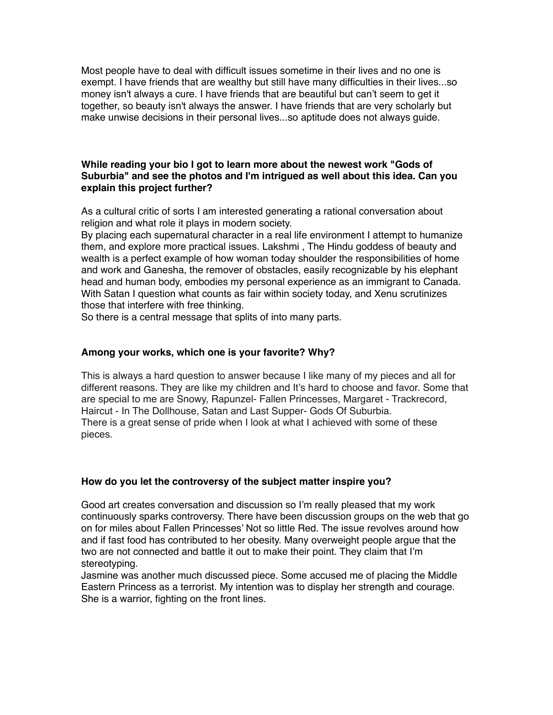Most people have to deal with difficult issues sometime in their lives and no one is exempt. I have friends that are wealthy but still have many difficulties in their lives...so money isn't always a cure. I have friends that are beautiful but can't seem to get it together, so beauty isn't always the answer. I have friends that are very scholarly but make unwise decisions in their personal lives...so aptitude does not always guide.

### **While reading your bio I got to learn more about the newest work "Gods of Suburbia" and see the photos and I'm intrigued as well about this idea. Can you explain this project further?**

As a cultural critic of sorts I am interested generating a rational conversation about religion and what role it plays in modern society.

By placing each supernatural character in a real life environment I attempt to humanize them, and explore more practical issues. Lakshmi , The Hindu goddess of beauty and wealth is a perfect example of how woman today shoulder the responsibilities of home and work and Ganesha, the remover of obstacles, easily recognizable by his elephant head and human body, embodies my personal experience as an immigrant to Canada. With Satan I question what counts as fair within society today, and Xenu scrutinizes those that interfere with free thinking.

So there is a central message that splits of into many parts.

### **Among your works, which one is your favorite? Why?**

This is always a hard question to answer because I like many of my pieces and all for different reasons. They are like my children and It's hard to choose and favor. Some that are special to me are Snowy, Rapunzel- Fallen Princesses, Margaret - Trackrecord, Haircut - In The Dollhouse, Satan and Last Supper- Gods Of Suburbia. There is a great sense of pride when I look at what I achieved with some of these pieces.

### **How do you let the controversy of the subject matter inspire you?**

Good art creates conversation and discussion so I'm really pleased that my work continuously sparks controversy. There have been discussion groups on the web that go on for miles about Fallen Princesses' Not so little Red. The issue revolves around how and if fast food has contributed to her obesity. Many overweight people argue that the two are not connected and battle it out to make their point. They claim that I'm stereotyping.

Jasmine was another much discussed piece. Some accused me of placing the Middle Eastern Princess as a terrorist. My intention was to display her strength and courage. She is a warrior, fighting on the front lines.